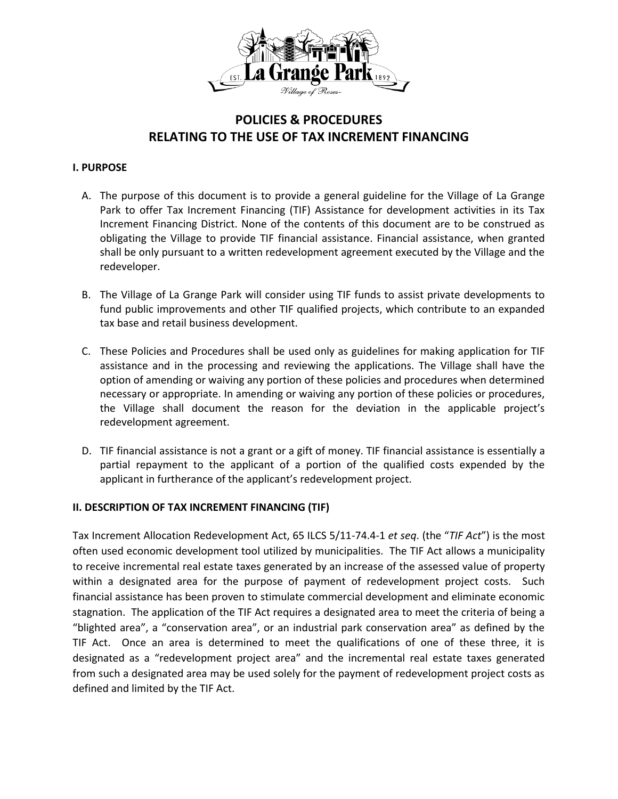

# **POLICIES & PROCEDURES RELATING TO THE USE OF TAX INCREMENT FINANCING**

## **I. PURPOSE**

- A. The purpose of this document is to provide a general guideline for the Village of La Grange Park to offer Tax Increment Financing (TIF) Assistance for development activities in its Tax Increment Financing District. None of the contents of this document are to be construed as obligating the Village to provide TIF financial assistance. Financial assistance, when granted shall be only pursuant to a written redevelopment agreement executed by the Village and the redeveloper.
- B. The Village of La Grange Park will consider using TIF funds to assist private developments to fund public improvements and other TIF qualified projects, which contribute to an expanded tax base and retail business development.
- C. These Policies and Procedures shall be used only as guidelines for making application for TIF assistance and in the processing and reviewing the applications. The Village shall have the option of amending or waiving any portion of these policies and procedures when determined necessary or appropriate. In amending or waiving any portion of these policies or procedures, the Village shall document the reason for the deviation in the applicable project's redevelopment agreement.
- D. TIF financial assistance is not a grant or a gift of money. TIF financial assistance is essentially a partial repayment to the applicant of a portion of the qualified costs expended by the applicant in furtherance of the applicant's redevelopment project.

## **II. DESCRIPTION OF TAX INCREMENT FINANCING (TIF)**

Tax Increment Allocation Redevelopment Act, 65 ILCS 5/11-74.4-1 *et seq*. (the "*TIF Act*") is the most often used economic development tool utilized by municipalities. The TIF Act allows a municipality to receive incremental real estate taxes generated by an increase of the assessed value of property within a designated area for the purpose of payment of redevelopment project costs. Such financial assistance has been proven to stimulate commercial development and eliminate economic stagnation. The application of the TIF Act requires a designated area to meet the criteria of being a "blighted area", a "conservation area", or an industrial park conservation area" as defined by the TIF Act. Once an area is determined to meet the qualifications of one of these three, it is designated as a "redevelopment project area" and the incremental real estate taxes generated from such a designated area may be used solely for the payment of redevelopment project costs as defined and limited by the TIF Act.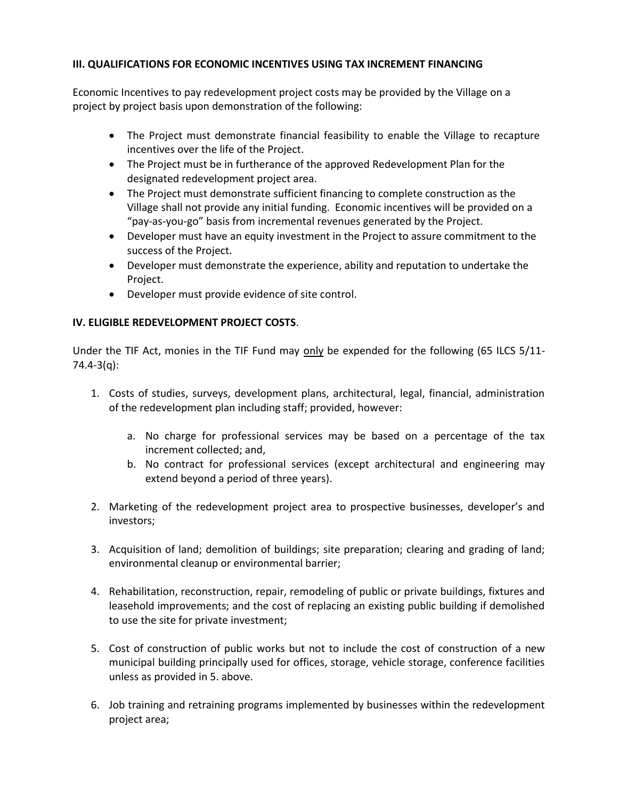# **III. QUALIFICATIONS FOR ECONOMIC INCENTIVES USING TAX INCREMENT FINANCING**

Economic Incentives to pay redevelopment project costs may be provided by the Village on a project by project basis upon demonstration of the following:

- The Project must demonstrate financial feasibility to enable the Village to recapture incentives over the life of the Project.
- The Project must be in furtherance of the approved Redevelopment Plan for the designated redevelopment project area.
- The Project must demonstrate sufficient financing to complete construction as the Village shall not provide any initial funding. Economic incentives will be provided on a "pay-as-you-go" basis from incremental revenues generated by the Project.
- Developer must have an equity investment in the Project to assure commitment to the success of the Project.
- Developer must demonstrate the experience, ability and reputation to undertake the Project.
- Developer must provide evidence of site control.

# **IV. ELIGIBLE REDEVELOPMENT PROJECT COSTS**.

Under the TIF Act, monies in the TIF Fund may only be expended for the following (65 ILCS 5/11- 74.4-3(q):

- 1. Costs of studies, surveys, development plans, architectural, legal, financial, administration of the redevelopment plan including staff; provided, however:
	- a. No charge for professional services may be based on a percentage of the tax increment collected; and,
	- b. No contract for professional services (except architectural and engineering may extend beyond a period of three years).
- 2. Marketing of the redevelopment project area to prospective businesses, developer's and investors;
- 3. Acquisition of land; demolition of buildings; site preparation; clearing and grading of land; environmental cleanup or environmental barrier;
- 4. Rehabilitation, reconstruction, repair, remodeling of public or private buildings, fixtures and leasehold improvements; and the cost of replacing an existing public building if demolished to use the site for private investment;
- 5. Cost of construction of public works but not to include the cost of construction of a new municipal building principally used for offices, storage, vehicle storage, conference facilities unless as provided in 5. above.
- 6. Job training and retraining programs implemented by businesses within the redevelopment project area;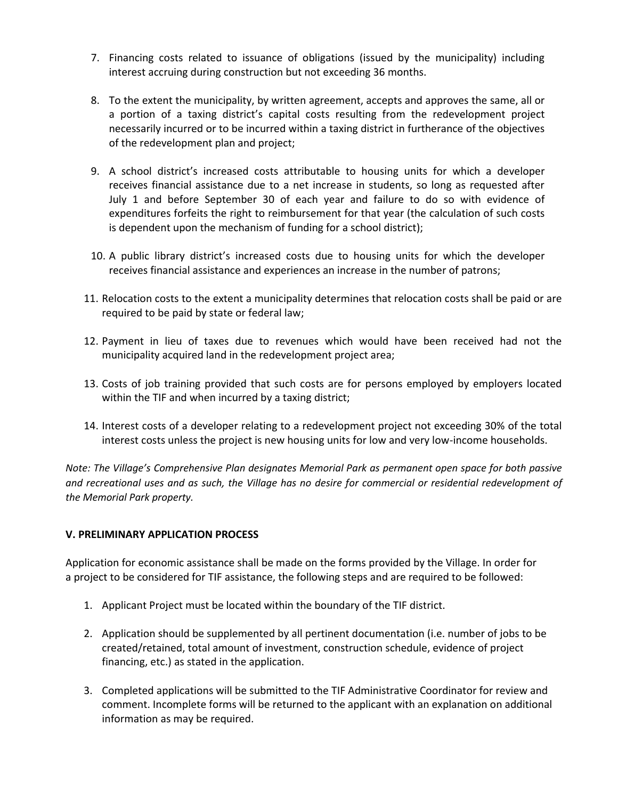- 7. Financing costs related to issuance of obligations (issued by the municipality) including interest accruing during construction but not exceeding 36 months.
- 8. To the extent the municipality, by written agreement, accepts and approves the same, all or a portion of a taxing district's capital costs resulting from the redevelopment project necessarily incurred or to be incurred within a taxing district in furtherance of the objectives of the redevelopment plan and project;
- 9. A school district's increased costs attributable to housing units for which a developer receives financial assistance due to a net increase in students, so long as requested after July 1 and before September 30 of each year and failure to do so with evidence of expenditures forfeits the right to reimbursement for that year (the calculation of such costs is dependent upon the mechanism of funding for a school district);
- 10. A public library district's increased costs due to housing units for which the developer receives financial assistance and experiences an increase in the number of patrons;
- 11. Relocation costs to the extent a municipality determines that relocation costs shall be paid or are required to be paid by state or federal law;
- 12. Payment in lieu of taxes due to revenues which would have been received had not the municipality acquired land in the redevelopment project area;
- 13. Costs of job training provided that such costs are for persons employed by employers located within the TIF and when incurred by a taxing district;
- 14. Interest costs of a developer relating to a redevelopment project not exceeding 30% of the total interest costs unless the project is new housing units for low and very low-income households.

*Note: The Village's Comprehensive Plan designates Memorial Park as permanent open space for both passive and recreational uses and as such, the Village has no desire for commercial or residential redevelopment of the Memorial Park property.*

## **V. PRELIMINARY APPLICATION PROCESS**

Application for economic assistance shall be made on the forms provided by the Village. In order for a project to be considered for TIF assistance, the following steps and are required to be followed:

- 1. Applicant Project must be located within the boundary of the TIF district.
- 2. Application should be supplemented by all pertinent documentation (i.e. number of jobs to be created/retained, total amount of investment, construction schedule, evidence of project financing, etc.) as stated in the application.
- 3. Completed applications will be submitted to the TIF Administrative Coordinator for review and comment. Incomplete forms will be returned to the applicant with an explanation on additional information as may be required.